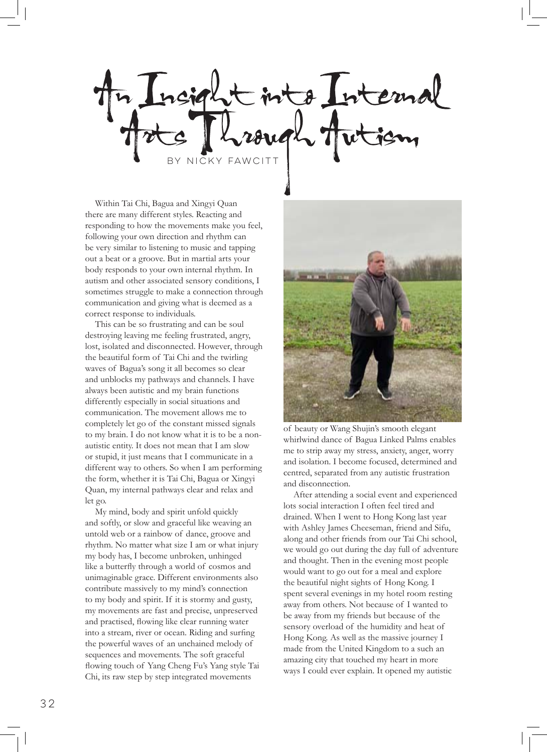Internal by Nicky Fawcitt

Within Tai Chi, Bagua and Xingyi Quan there are many different styles. Reacting and responding to how the movements make you feel, following your own direction and rhythm can be very similar to listening to music and tapping out a beat or a groove. But in martial arts your body responds to your own internal rhythm. In autism and other associated sensory conditions, I sometimes struggle to make a connection through communication and giving what is deemed as a correct response to individuals.

This can be so frustrating and can be soul destroying leaving me feeling frustrated, angry, lost, isolated and disconnected. However, through the beautiful form of Tai Chi and the twirling waves of Bagua's song it all becomes so clear and unblocks my pathways and channels. I have always been autistic and my brain functions differently especially in social situations and communication. The movement allows me to completely let go of the constant missed signals to my brain. I do not know what it is to be a nonautistic entity. It does not mean that I am slow or stupid, it just means that I communicate in a different way to others. So when I am performing the form, whether it is Tai Chi, Bagua or Xingyi Quan, my internal pathways clear and relax and let go.

My mind, body and spirit unfold quickly and softly, or slow and graceful like weaving an untold web or a rainbow of dance, groove and rhythm. No matter what size I am or what injury my body has, I become unbroken, unhinged like a butterfly through a world of cosmos and unimaginable grace. Different environments also contribute massively to my mind's connection to my body and spirit. If it is stormy and gusty, my movements are fast and precise, unpreserved and practised, flowing like clear running water into a stream, river or ocean. Riding and surfing the powerful waves of an unchained melody of sequences and movements. The soft graceful flowing touch of Yang Cheng Fu's Yang style Tai Chi, its raw step by step integrated movements



of beauty or Wang Shujin's smooth elegant whirlwind dance of Bagua Linked Palms enables me to strip away my stress, anxiety, anger, worry and isolation. I become focused, determined and centred, separated from any autistic frustration and disconnection.

After attending a social event and experienced lots social interaction I often feel tired and drained. When I went to Hong Kong last year with Ashley James Cheeseman, friend and Sifu, along and other friends from our Tai Chi school, we would go out during the day full of adventure and thought. Then in the evening most people would want to go out for a meal and explore the beautiful night sights of Hong Kong. I spent several evenings in my hotel room resting away from others. Not because of I wanted to be away from my friends but because of the sensory overload of the humidity and heat of Hong Kong. As well as the massive journey I made from the United Kingdom to a such an amazing city that touched my heart in more ways I could ever explain. It opened my autistic